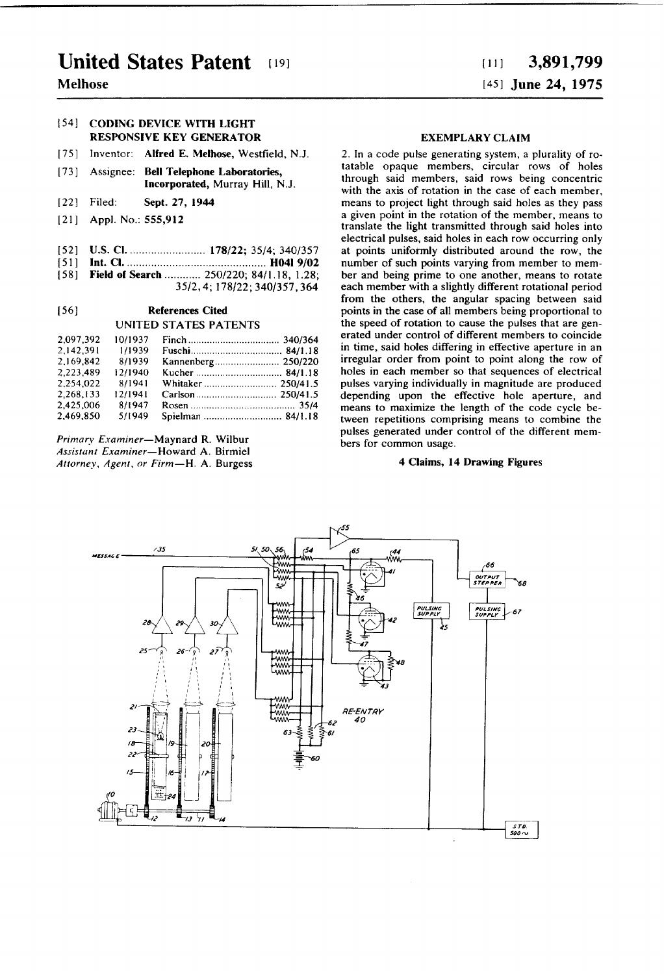# United States Patent

# Melhose

## 154] CODING DEVICE WITH LIGHT RESPONSIVE KEY GENERATOR

- [75] Inventor: Alfred E. Melhose, Westfield, N.J.
- [73] Assignee: Bell Telephone Laboratories, Incorporated, Murray Hill, NJ.
- [22] Filed: Sept. 27, 1944
- [21] App]. No.: 555,912
- [52] US. Cl. ....................... .. 178/22; 35/4; 340/357
- [51] Int. Cl. ............................................ .. H041 9/02
- [58] Field of Search ............ 250/220; 84/1.18, 1.28; 35/2, 4; 178/22; 340/357, 364

#### [56] References Cited

#### UNITED STATES PATENTS

| 2.097.392 | 10/1937 |                   |  |
|-----------|---------|-------------------|--|
| 2.142.391 | 1/1939  |                   |  |
| 2.169.842 | 8/1939  |                   |  |
| 2.223.489 | 12/1940 |                   |  |
| 2.254.022 | 8/1941  |                   |  |
| 2.268.133 | 12/1941 |                   |  |
| 2.425,006 | 8/1947  |                   |  |
| 2.469.850 | 5/1949  | Spielman  84/1.18 |  |

Primary Examiner-Maynard R. Wilbur Assistant Examiner-Howard A. Birmiel Attorney, Agent, or Firm—H. A. Burgess

#### EXEMPLARY CLAIM

2. In a code pulse generating system, a plurality of to tatable opaque members, circular rows of holes through said members, said rows being concentric with the axis of rotation in the case of each member, means to project light through said holes as they pass a given point in the rotation of the member, means to translate the light transmitted through said holes into electrical pulses, said holes in each row occurring only at points uniformly distributed around the row, the number of such points varying from member to mem ber and being prime to one another, means to rotate each member with a slightly different rotational period from the others, the angular spacing between said points in the case of all members being proportional to the speed of rotation to cause the pulses that are gen erated under control of different members to coincide in time, said holes differing in effective aperture in an irregular order from point to point along the row of holes in each member so that sequences of electrical pulses varying individually in magnitude are produced depending upon the effective hole aperture, and means to maximize the length of the code cycle be tween repetitions comprising means to combine the pulses generated under control of the different members for common usage.

### 4 Claims, 14 Drawing Figures



# in] 3,891,799 1451 June 24, 1975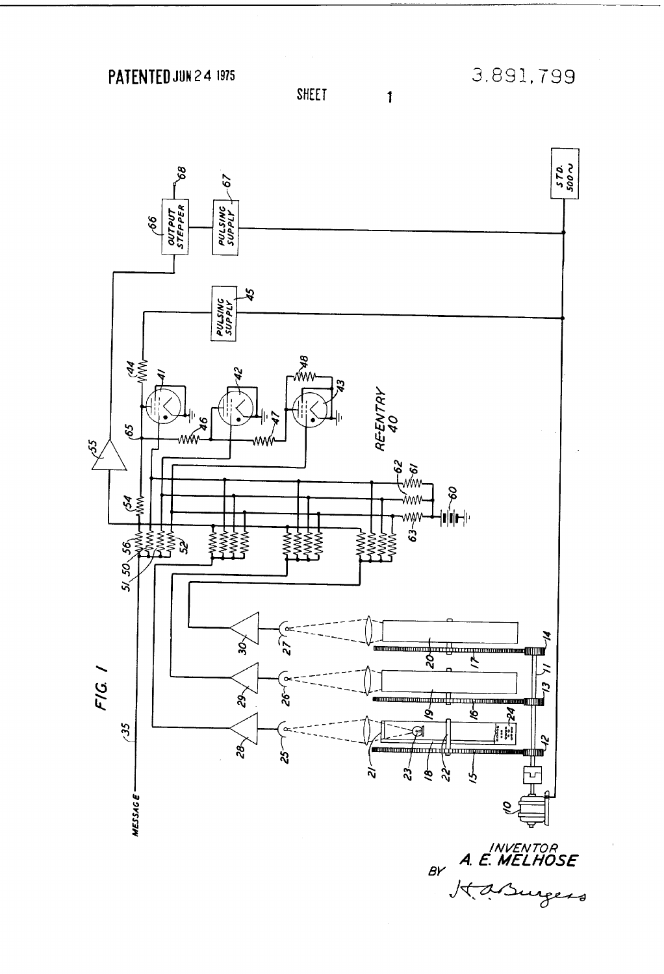PATENTED JUN 2 4 1975



**SHEET** 

 $\mathbf{1}$ 

A. E. MELHOSE<br>K. A. Surgers  $B<sup>2</sup>$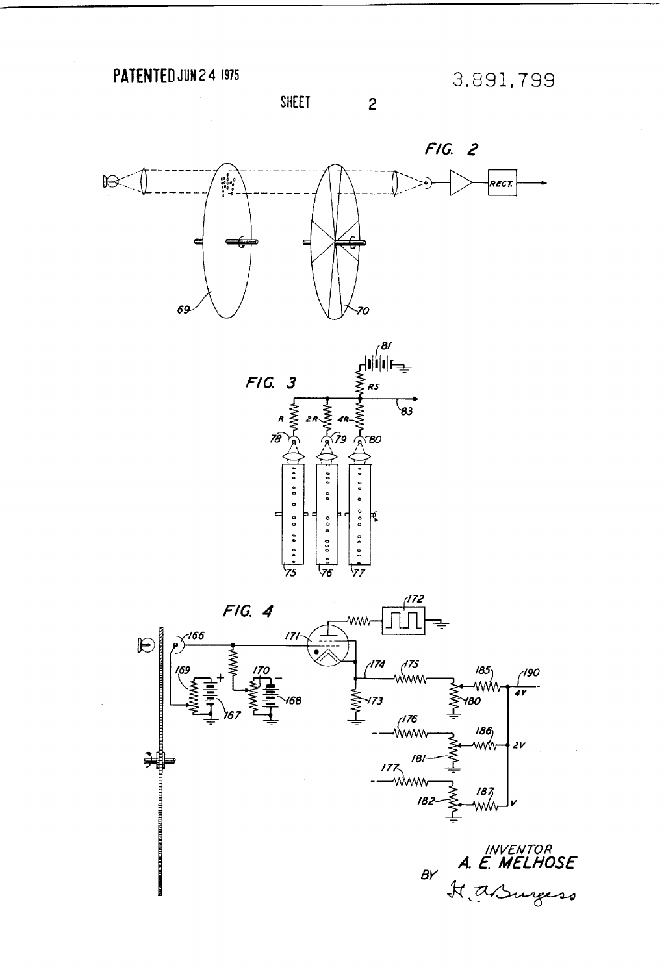PATENTED JUN 24 1975

3.891,799

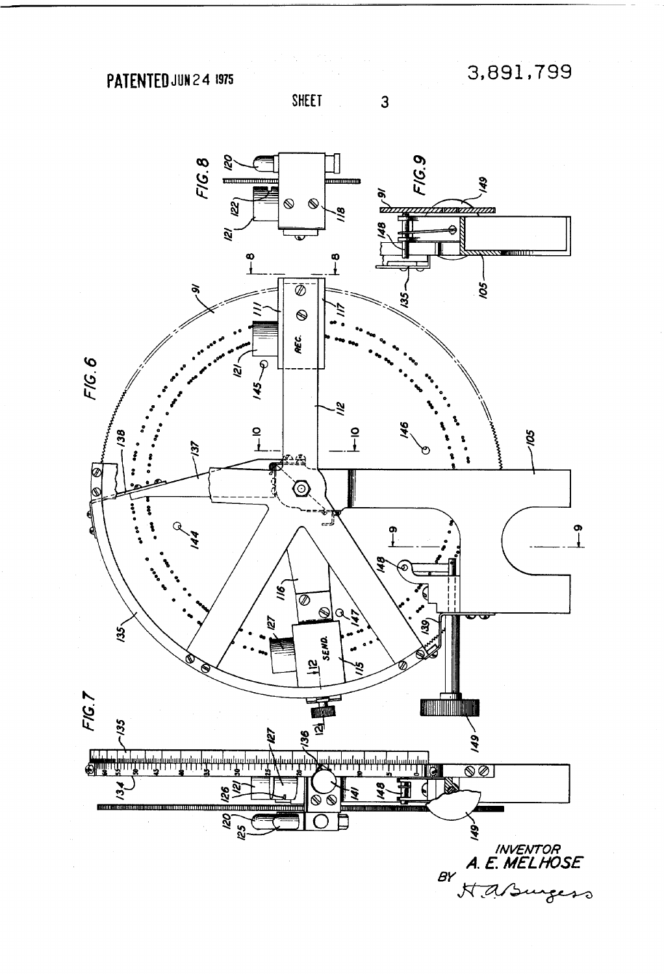PATENTED JUN 24 1975

3,891,799

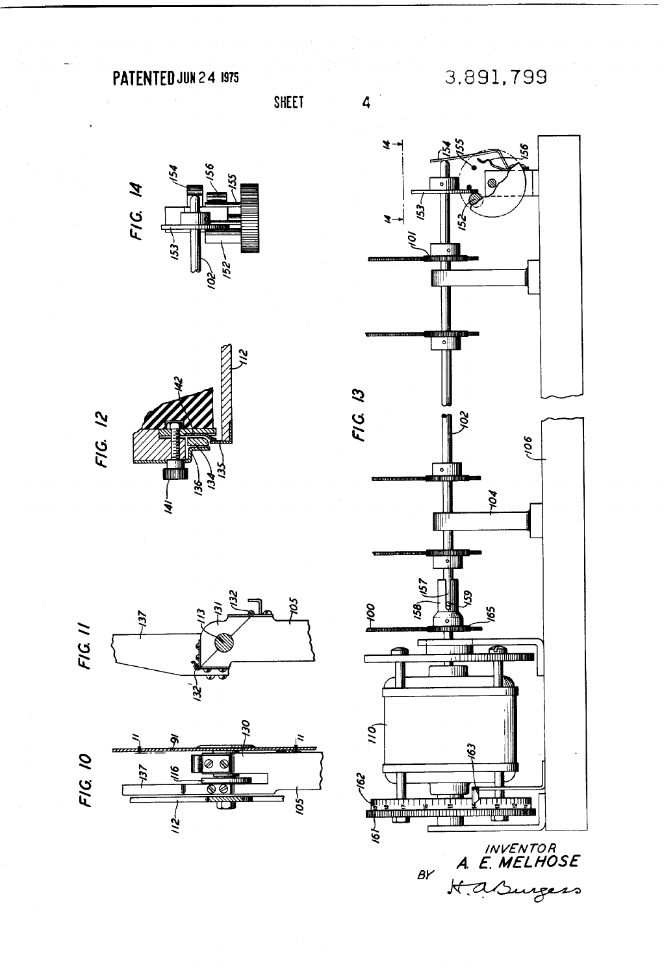PATENTED JUN 2 4 1975

SHEET

3.891,799











 $\beta Y$ 

 $\forall a$ 

rgess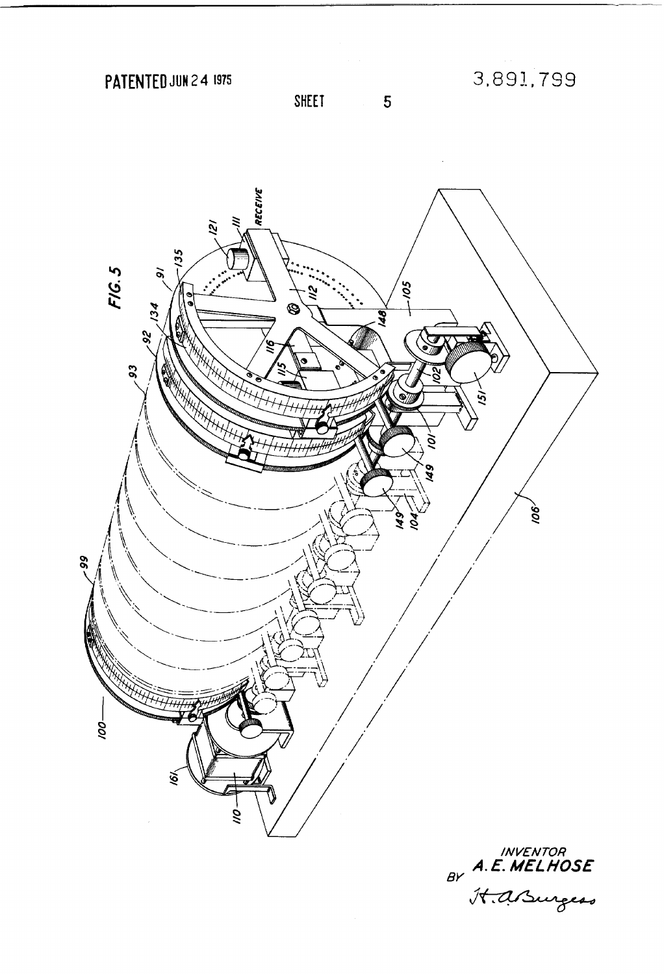PATENTED JUN 2 4 1975

3,891,799



SHEET

 $\overline{5}$ 

INVENTOR<br>BY **A.E. MELHOSE**<br>H.asurgess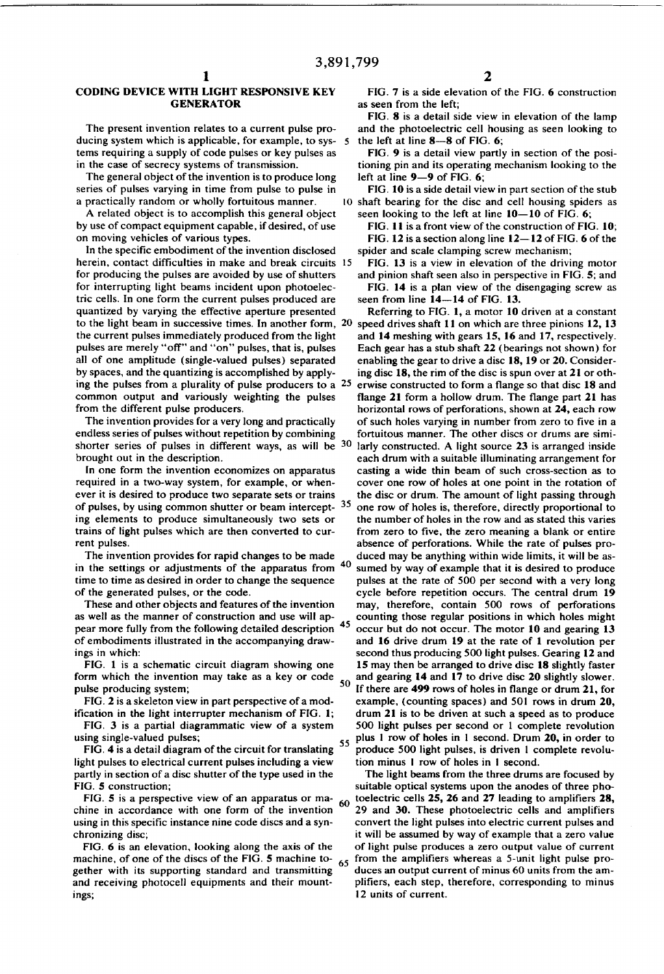$\overline{\mathbf{5}}$ 

#### CODING DEVICE WITH LIGHT RESPONSIVE KEY **GENERATOR**

The present invention relates to a current pulse pro ducing system which is applicable, for example, to sys tems requiring a supply of code pulses or key pulses as in the case of secrecy systems of transmission.

The general object of the invention is to produce long series of pulses varying in time from pulse to pulse in a practically random or wholly fortuitous manner.

A related object is to accomplish this general object by use of compact equipment capable, if desired, of use on moving vehicles of various types.

In the specific embodiment of the invention disclosed herein, contact difficulties in make and break circuits 15 for producing the pulses are avoided by use of shutters for interrupting light beams incident upon photoelectric cells. In one form the current pulses produced are quantized by varying the effective aperture presented the current pulses immediately produced from the light pulses are merely "off" and "on" pulses, that is, pulses all of one amplitude (single-valued pulses) separated by spaces, and the quantizing is accomplished by apply ing the pulses from a plurality of pulse producers to a 25 common output and variously weighting the pulses from the different pulse producers.

The invention provides for a very long and practically endless series of pulses without repetition by combining brought out in the description.

In one form the invention economizes on apparatus required in a two-way system, for example, or when ever it is desired to produce two separate sets or trains of pulses, by using common shutter or beam intercept- 35 ing elements to produce simultaneously two sets or trains of light pulses which are then converted to cur rent pulses.

The invention provides for rapid changes to be made<br>the estimate of the approximation from 40 in the settings or adjustments of the apparatus from time to time as desired in order to change the sequence of the generated pulses, or the code.

These and other objects and features of the invention as well as the manner of construction and use will appear more fully from the following detailed description <sup>45</sup> of embodiments illustrated in the accompanying draw ings in which:

FIG. 1 is a schematic circuit diagram showing one form which the invention may take as a key or code  $_{50}$ pulse producing system;

FIG. 2 is a skeleton view in part perspective of a modification in the light interrupter mechanism of FIG. 1;

FIG. 3 is a partial diagrammatic view of a system using single-valued pulses;

FIG. 4 is a detail diagram of the circuit for translating  $55$ light pulses to electrical current pulses including a view partly in section of a disc shutter of the type used in the FIG. 5 construction;

FIG. 5 is a perspective view of an apparatus or ma-<br> $\frac{60}{100}$ chine in accordance with one form of the invention using in this specific instance nine code discs and a synchronizing disc;

FIG. 6 is an elevation, looking along the axis of the machine, of one of the discs of the FIG. 5 machine together with its supporting standard and transmitting and receiving photocell equipments and their mount ings;

FIG. 7 is a side elevation of the FIG. 6 construction as seen from the left;

FIG. 8 is a detail side view in elevation of the lamp and the photoelectric cell housing as seen looking to the left at line  $8-8$  of FIG. 6:

FIG. 9 is a detail view partly in section of the posi tioning pin and its operating mechanism looking to the left at line 9—9 of FIG. 6;

FIG. 10 is a side detail view in part section of the stub shaft bearing for the disc and cell housing spiders as seen looking to the left at line  $10-10$  of FIG. 6;

FIG. II is a front view of the construction of FIG. 10; FIG. 12 is a section along line  $12-12$  of FIG. 6 of the spider and scale clamping screw mechanism;

FIG. 13 is a view in elevation of the driving motor and pinion shaft seen also in perspective in FIG. 5; and FIG. 14 is a plan view of the disengaging screw as seen from line 14-14 of FIG. 13.

to the light beam in successive times. In another form, 20 speed drives shaft 11 on which are three pinions 12, 13 shorter series of pulses in different ways, as will be  $30$  larly constructed. A light source 23 is arranged inside Referring to FIG. 1, a motor 10 driven at a constant and I4 meshing with gears l5, l6 and 17, respectively. Each gear has a stub shaft 22 (bearings not shown) for enabling the gear to drive a disc 18, 19 or 20. Considering disc 18, the rim of the disc is spun over at 21 or oth erwise constructed to form a flange so that disc 18 and flange 21 form a hollow drum. The flange part 21 has horizontal rows of perforations, shown at 24, each row of such holes varying in number from zero to five in a fortuitous manner. The other discs or drums are simi each drum with a suitable illuminating arrangement for casting a wide thin beam of such cross-section as to cover one row of holes at one point in the rotation of the disc or drum. The amount of light passing through one row of holes is, therefore, directly proportional to the number of holes in the row and as stated this varies from zero to five, the zero meaning a blank or entire absence of perforations. While the rate of pulses pro duced may be anything within wide limits, it will be as sumed by way of example that it is desired to produce pulses at the rate of 500 per second with a very long cycle before repetition occurs. The central drum 19 may, therefore, contain 500 rows of perforations counting those regular positions in which holes might occur but do not occur. The motor 10 and gearing l3 and 16 drive drum 19 at the rate of 1 revolution per second thus producing 500 light pulses. Gearing l2 and 15 may then be arranged to drive disc 18 slightly faster and gearing 14 and 17 to drive disc 20 slightly slower. If there are  $499$  rows of holes in flange or drum 21, for example, (counting spaces) and 501 rows in drum 20, drum 21 is to be driven at such a speed as to produce 500 light pulses per second or I complete revolution plus I row of holes in I second. Drum 20, in order to produce 500 light pulses, is driven I complete revolu tion minus I row of holes in I second.

The light beams from the three drums are focused by suitable optical systems upon the anodes of three pho toelectric cells  $25$ ,  $26$  and  $27$  leading to amplifiers  $28$ , 29 and 30. These photoelectric cells and amplifiers convert the light pulses into electric current pulses and it will be assumed by way of example that a zero value of light pulse produces a zero output value of current from the amplifiers whereas a 5-unit light pulse produces an output current of minus 60 units from the am plifiers, each step, therefore, corresponding to minus I2 units of current.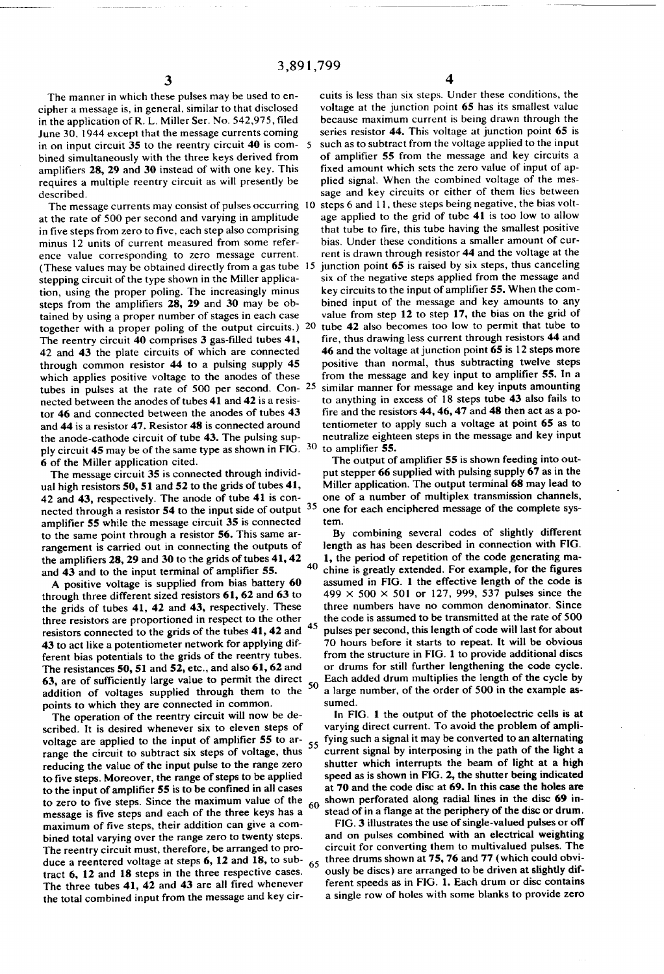The manner in which these pulses may be used to en cipher a message is, in general, similar to that disclosed in the application of R. L. Miller Ser. No. 542,975, filed June 30, 1944 except that the message currents coming in on input circuit 35 to the reentry circuit 40 is com bined simultaneously with the three keys derived from amplifiers 28, 29 and 30 instead of with one key. This requires a multiple reentry circuit as will presently be described.

The message currents may consist of pulses occurring 10 at the rate of 500 per second and varying in amplitude in five steps from zero to five, each step also comprising minus 12 units of current measured from some refer ence value corresponding to zero message current. (These values may be obtained directly from a gas tube 15) stepping circuit of the type shown in the Miller applica tion, using the proper poling. The increasingly minus steps from the amplifiers  $28$ ,  $29$  and  $30$  may be obtained by using a proper number of stages in each case together with a proper poling of the output circuits.) 20 tube 42 also becomes too low to permit that tube to The reentry circuit  $40$  comprises  $3$  gas-filled tubes  $41$ , 42 and 43 the plate circuits of which are connected through common resistor 44 to a pulsing supply 45 which applies positive voltage to the anodes of these tubes in pulses at the rate of 500 per second. Con- $25$ nected between the anodes of tubes 41 and 42 is a resis tor 46 and connected between the anodes of tubes 43 and 44 is a resistor 47. Resistor 48 is connected around the anode-cathode circuit of tube 43. The pulsing supply circuit 45 may be of the same type as shown in FIG. 30 6 of the Miller application cited.

The message circuit 35 is connected through individ ual high resistors 50, 51 and 52 to the grids of tubes 41, 42 and 43, respectively. The anode of tube 41 is con nected through a resistor 54 to the input side of output  $35$ amplifier 55 while the message circuit 35 is connected to the same point through a resistor 56. This same ar rangement is carried out in connecting the outputs of the amplifiers 28, 29 and 30 to the grids of tubes 41, 42  $\frac{40}{40}$ and  $43$  and to the input terminal of amplifier  $55$ .

A positive voltage is supplied from bias battery 60 through three different sized resistors 61, 62 and 63 to the grids of tubes 41, 42 and 43, respectively. These three resistors are proportioned in respect to the other 45 resistors connected to the grids of the tubes 41, 42 and 43 to act like a potentiometer network for applying dif ferent bias potentials to the grids of the reentry tubes. The resistances 50, 51 and 52, etc., and also 61, 62 and 63, are of sufficiently large value to permit the direct 50 addition of voltages supplied through them to the points to which they are connected in common.

The operation of the reentry circuit will now be de scribed. It is desired whenever six to eleven steps of voltage are applied to the input of amplifier 55 to arvoltage are applied to the input of amplifier  $55 \text{ or } 35$ <br>range the circuit to subtract six steps of voltage, thus reducing the value of the input pulse to the range zero to five steps. Moreover, the range of steps to be applied to the input of amplifier 55 is to be confined in all cases to zero to five steps. Since the maximum value of the message is five steps and each of the three keys has a maximum of five steps, their addition can give a combined total varying over the range zero to twenty steps. The reentry circuit must, therefore, be arranged to pro duce a reentered voltage at steps 6, 12 and 18, to sub tract 6, 12 and 18 steps in the three respective cases. The three tubes  $41$ ,  $42$  and  $43$  are all fired whenever the total combined input from the message and key cir 60 65 4

cuits is less than six steps. Under these conditions, the voltage at the junction point 65 has its smallest value because maximum current is being drawn through the series resistor 44. This voltage at junction point 65 is such as to subtract from the voltage applied to the input of amplifier 55 from the message and key circuits a fixed amount which sets the zero value of input of applied signal. When the combined voltage of the mes sage and key circuits or either of them lies between steps 6 and 11, these steps being negative, the bias voltage applied to the grid of tube 41 is too low to allow that tube to fire, this tube having the smallest positive bias. Under these conditions a smaller amount of current is drawn through resistor 44 and the voltage at the junction point 65 is raised by six steps, thus canceling six of the negative steps applied from the message and key circuits to the input of amplifier 55. When the combined input of the message and key amounts to any value from step 12 to step 17, the bias on the grid of fire, thus drawing less current through resistors 44 and 46 and the voltage at junction point 65 is 12 steps more positive than normal, thus subtracting twelve steps from the message and key input to amplifier 55. In a similar manner for message and key inputs amounting to anything in excess of 18 steps tube 43 also fails to fire and the resistors  $44$ ,  $46$ ,  $47$  and  $48$  then act as a potentiometer to apply such a voltage at point 65 as to neutralize eighteen steps in the message and key input to amplifier 55.

The output of amplifier 55 is shown feeding into output stepper 66 supplied with pulsing supply  $67$  as in the Miller application. The output terminal 68 may lead to one of a number of multiplex transmission channels, one for each enciphered message of the complete sys tem.

By combining several codes of slightly different length as has been described in connection with FIG. 1, the period of repetition of the code generating ma chine is greatly extended. For example, for the figures assumed in FIG. 1 the effective length of the code is 499  $\times$  500  $\times$  501 or 127, 999, 537 pulses since the three numbers have no common denominator. Since the code is assumed to be transmitted at the rate of 500 pulses per second, this length of code will last for about 70 hours before it starts to repeat. It will be obvious from the structure in FIG. 1 to provide additional discs or drums for still further lengthening the code cycle. Each added drum multiplies the length of the cycle by a large number, of the order of 500 in the example as sumed.

In FIG. 1 the output of the photoelectric cells is at varying direct current. To avoid the problem of ampli fying such a signal it may be converted to an alternating current signal by interposing in the path of the light a shutter which interrupts the beam of light at a high speed as is shown in FIG. 2, the shutter being indicated at 70 and the code disc at 69. In this case the holes are shown perforated along radial lines in the disc 69 in stead of in a flange at the periphery of the disc or drum.

FIG. 3 illustrates the use of single-valued pulses or off and on pulses combined with an electrical weighting circuit for converting them to multivalued pulses. The three drums shown at 75, 76 and 77 (which could obvi ously be discs) are arranged to be driven at slightly dif ferent speeds as in FIG. 1. Each drum or disc contains a single row of holes with some blanks to provide zero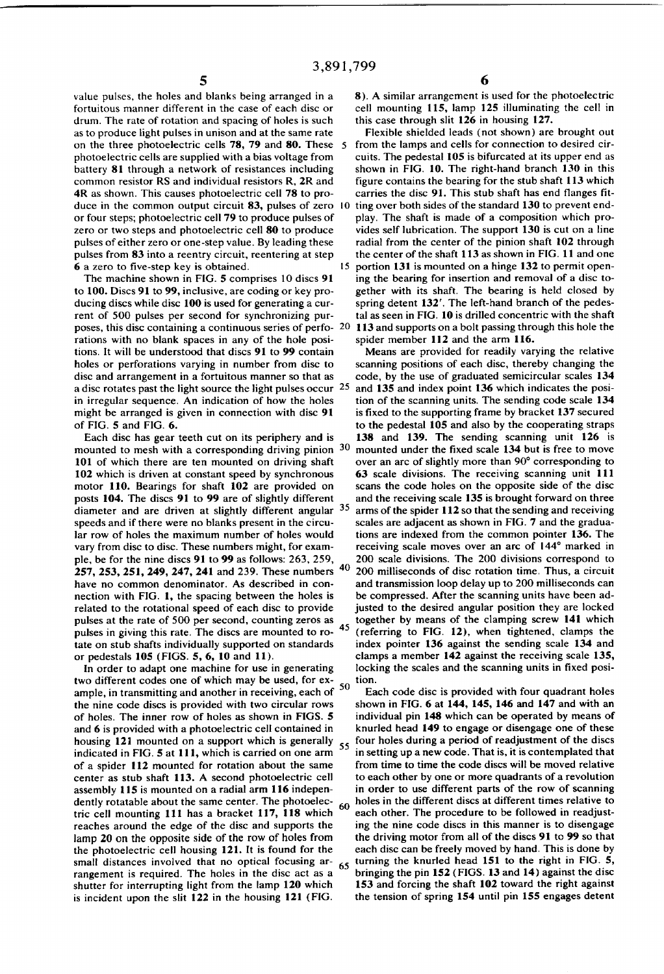value pulses. the holes and blanks being arranged in a fortuitous manner different in the case of each disc or drum. The rate of rotation and spacing of holes is such as to produce light pulses in unison and at the same rate on the three photoelectric cells 78, 79 and 80. These photoelectric cells are supplied with a bias voltage from battery 81 through a network of resistances including common resistor RS and individual resistors R, 2R and 4R as shown. This causes photoelectric cell 78 to pro duce in the common output circuit 83, pulses of zero 10 or four steps; photoelectric cell 79 to produce pulses of zero or two steps and photoelectric cell 80 to produce pulses of either zero or one-step value. By leading these pulses from 83 into a reentry circuit, reentering at step 6 a zero to five-step key is obtained.

The machine shown in FIG. 5 comprises 10 discs 91 to 100. Discs 91 to 99, inclusive, are coding or key pro ducing discs while disc 100 is used for generating a cur rent of 500 pulses per second for synchronizing pur poses, this disc containing a continuous series of perfo- 20 rations with no blank spaces in any of the hole posi tions. It will be understood that discs 91 to 99 contain holes or perforations varying in number from disc to disc and arrangement in a fortuitous manner so that as a disc rotates past the light source the light pulses occur  $25$ in irregular sequence. An indication of how the holes might be arranged is given in connection with disc 91 of FIG. 5 and FIG. 6.

Each disc has gear teeth cut on its periphery and is mounted to mesh with a corresponding driving pinion 30 101 of which there are ten mounted on driving shaft 102 which is driven at constant speed by synchronous motor 110. Bearings for shaft 102 are provided on posts 104. The discs 91 to 99 are of slightly different diameter and are driven at slightly different angular 35 speeds and if there were no blanks present in the circu lar row of holes the maximum number of holes would vary from disc to disc. These numbers might, for exam ple, be for the nine discs 91 to 99 as follows: 263, 259, 257, 253, 251, 249, 247, 241 and 239. These numbers have no common denominator. As described in con nection with FIG. 1, the spacing between the holes is related to the rotational speed of each disc to provide pulses at the rate of 500 per second, counting zeros as pulses in giving this rate. The discs are mounted to ro- $45$ tate on stub shafts individually supported on standards or pedestals 105 (FIGS. 5, 6, 10 and 11).

In order to adapt one machine for use in generating two different codes one of which may be used, for ex ample, in transmitting and another in receiving, each of 50 the nine code discs is provided with two circular rows of holes. The inner row of holes as shown in FIGS. 5 and 6 is provided with a photoelectric cell contained in housing 121 mounted on a support which is generally  $55$ indicated in FIG. 5 at 111, which is carried on one arm of a spider 112 mounted for rotation about the same center as stub shaft 113. A second photoelectric cell assembly 115 is mounted on a radial arm 116 indepen dently rotatable about the same center. The photoelec tric cell mounting 111 has a bracket 117, 118 which reaches around the edge of the disc and supports the lamp 20 on the opposite side of the row of holes from the photoelectric cell housing 121. It is found for the small distances involved that no optical focusing  $ar - 65$ rangement is required. The holes in the disc act as a shutter for interrupting light from the lamp 120 which is incident upon the slit 122 in the housing 121 (FIG. 60

8). A similar arrangement is used for the photoelectric cell mounting 115, lamp 125 illuminating the cell in this case through slit 126 in housing 127.

Flexible shielded leads (not shown) are brought out from the lamps and cells for connection to desired cir cuits. The pedestal 105 is bifurcated at its upper end as shown in FIG. 10. The right-hand branch 130 in this figure contains the bearing for the stub shaft 113 which carries the disc 91. This stub shaft has end flanges fitting over both sides of the standard 130 to prevent end play. The shaft is made of a composition which pro vides self lubrication. The support 130 is cut on a line radial from the center of the pinion shaft 102 through the center of the shaft 113 as shown in FIG. 11 and one 15 portion 131 is mounted on a hinge 132 to permit open ing the bearing for insertion and removal of a disc to gether with its shaft. The bearing is held closed by spring detent 132'. The left-hand branch of the pedestal as seen in FIG. 10 is drilled concentric with the shaft 1 13 and supports on a bolt passing through this hole the spider member 112 and the arm 116.

Means are provided for readily varying the relative scanning positions of each disc, thereby changing the code, by the use of graduated semicircular scales 134 and 135 and index point 136 which indicates the posi tion of the scanning units. The sending code scale 134 is fixed to the supporting frame by bracket 137 secured to the pedestal 105 and also by the cooperating straps 138 and 139. The sending scanning unit 126 is mounted under the fixed scale 134 but is free to move over an arc of slightly more than 90° corresponding to 63 scale divisions. The receiving scanning unit 111 scans the code holes on the opposite side of the disc and the receiving scale 135 is brought forward on three arms of the spider 112 so that the sending and receiving scales are adjacent as shown in FIG. 7 and the gradua tions are indexed from the common pointer 136. The receiving scale moves over an arc of 144° marked in 200 scale divisions. The 200 divisions correspond to 200 milliseconds of disc rotation time. Thus, a circuit and transmission loop delay up to 200 milliseconds can be compressed. After the scanning units have been ad justed to the desired angular position they are locked together by means of the clamping screw 141 which (referring to FIG. 12), when tightened, clamps the index pointer 136 against the sending scale 134 and clamps a member 142 against the receiving scale 135, locking the scales and the scanning units in fixed position.

Each code disc is provided with four quadrant holes shown in FIG. 6 at 144, 145, 146 and 147 and with an individual pin 148 which can be operated by means of knurled head 149 to engage or disengage one of these four holes during a period of readjustment of the discs in setting up a new code. That is, it is contemplated that from time to time the code discs will be moved relative to each other by one or more quadrants of a revolution in order to use different parts of the row of scanning holes in the different discs at different times relative to each other. The procedure to be followed in readjust ing the nine code discs in this manner is to disengage the driving motor from all of the discs 91 to 99 so that each disc can be freely moved by hand. This is done by turning the knurled head 151 to the right in FIG. 5, bringing the pin 152 (FIGS. 13 and 14) against the disc 153 and forcing the shaft 102 toward the right against the tension of spring 154 until pin 155 engages detent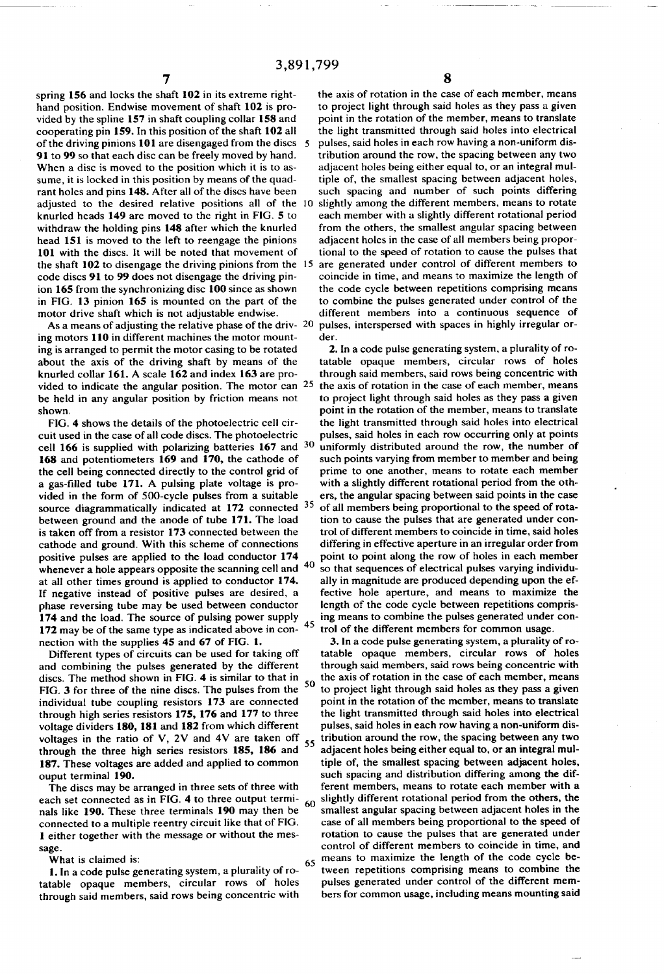spring 156 and locks the shaft 102 in its extreme righthand position. Endwise movement of shaft 102 is pro vided by the spline 157 in shaft coupling collar 158 and cooperating pin 159. In this position of the shaft 102 all of the driving pinions  $101$  are disengaged from the discs 5 91 to 99 so that each disc can be freely moved by hand. When a disc is moved to the position which it is to assume, it is locked in this position by means of the quad rant holes and pins 148. After all of the discs have been adjusted to the desired relative positions all of the knurled heads 149 are moved to the right in FIG. 5 to withdraw the holding pins 148 after which the knurled head 151 is moved to the left to reengage the pinions 101 with the discs. It will be noted that movement of the shaft 102 to disengage the driving pinions from the 15 code discs 91 to 99 does not disengage the driving pin ion 165 from the synchronizing disc 100 since as shown in FIG. 13 pinion 165 is mounted on the part of the motor drive shaft which is not adjustable endwise.

As a means of adjusting the relative phase of the driv-  $20<sup>20</sup>$ ing motors 110 in different machines the motor mount ing is arranged to permit the motor casing to be rotated about the axis of the driving shaft by means of the knurled collar 161. A scale 162 and index 163 are pro vided to indicate the angular position. The motor can <sup>25</sup> be held in any angular position by friction means not shown.

FIG. 4 shows the details of the photoelectric cell cir cuit used in the case of all code discs. The photoelectric cell 166 is supplied with polarizing batteries  $167$  and  $30$ 168 and Potentiometers 169 and 170, the cathode of the cell being connected directly to the control grid of a gas-filled tube 171. A pulsing plate voltage is pro vided in the form of SOO-cycle pulses from a suitable source diagrammatically indicated at 172 connected <sup>35</sup> between ground and the anode of tube 171. The load is taken off from a resistor 173 connected between the cathode and ground. With this scheme of connections positive pulses are applied to the load conductor 174<br>unknown a halo appears appeal the conductor  $174$ whenever a hole appears opposite the scanning cell and at all other times ground is applied to conductor 174. If negative instead of positive pulses are desired, a phase reversing tube may be used between conductor 174 and the load. The source of pulsing power supply 172 may be of the same type as indicated above in con nection with the supplies 45 and 67 of FIG. 1.

Different types of circuits can be used for taking off and combining the pulses generated by the different discs. The method shown in FIG. 4 is similar to that in FIG. 3 for three of the nine discs. The pulses from the individual tube coupling resistors 173 are connected through high series resistors 175, I76 and 177 to three voltage dividers 180, I81 and 182 from which different voltages in the ratio of V, 2V and 4V are taken off  $55$ through the three high series resistors 185, I86 and 187. These voltages are added and applied to common ouput terminal 190. 50

The discs may be arranged in three sets of three with each set connected as in FIG. 4 to three output termi each set connected as in FIG. 4 to three output terminals like 190. These three terminals 190 may then be connected to a multiple reentry circuit like that of FIG. 1 either together with the message or without the mes sage.

What is claimed is:

]. In a code pulse generating system, a plurality of ro tatable opaque members, circular rows of holes through said members, said rows being concentric with

the axis of rotation in the case of each member, means to project light through said holes as they pass a given point in the rotation of the member, means to translate the light transmitted through said holes into electrical pulses, said holes in each row having a non-uniform dis tribution around the row, the spacing between any two adjacent holes being either equal to, or an integral mul tiple of, the smallest spacing between adjacent holes, such spacing and number of such points differing slightly among the different members, means to rotate each member with a slightly different rotational period from the others, the smallest angular spacing between adjacent holes in the case of all members being propor tional to the speed of rotation to cause the pulses that are generated under control of different members to coincide in time, and means to maximize the length of the code cycle between repetitions comprising means to combine the pulses generated under control of the different members into a continuous sequence of pulses, interspersed with spaces in highly irregular or der.

2. In a code pulse generating system, a plurality of ro tatable opaque members, circular rows of holes through said members, said rows being concentric with the axis of rotation in the case of each member, means to project light through said holes as they pass a given point in the rotation of the member, means to translate the light transmitted through said holes into electrical pulses, said holes in each row occurring only at points uniformly distributed around the row, the number of such points varying from member to member and being prime to one another, means to rotate each member with a slightly different rotational period from the oth ers, the angular spacing between said points in the case of all members being proportional to the speed of rota tion to cause the pulses that are generated under con trol of different members to coincide in time, said holes differing in effective aperture in an irregular order from point to point along the row of holes in each member so that sequences of electrical pulses varying individu ally in magnitude are produced depending upon the ef fective hole aperture, and means to maximize the length of the code cycle between repetitions compris ing means to combine the pulses generated under con trol of the different members for common usage.

65 3. In a code pulse generating system, a plurality of ro~ tatable opaque members, circular rows of holes through said members, said rows being concentric with the axis of rotation in the case of each member, means to project light through said holes as they pass a given point in the rotation of the member, means to translate the light transmitted through said holes into electrical pulses, said holes in each row having a non-uniform dis tribution around the row, the spacing between any two adjacent holes being either equal to, or an integral mul tiple of, the smallest spacing between adjacent holes, such spacing and distribution differing among the dif ferent members, means to rotate each member with a slightly different rotational period from the others, the smallest angular spacing between adjacent holes in the case of all members being proportional to the speed of rotation to cause the pulses that are generated under control of different members to coincide in time, and means to maximize the length of the code cycle be tween repetitions comprising means to combine the pulses generated under control of the different mem bers for common usage, including means mounting said